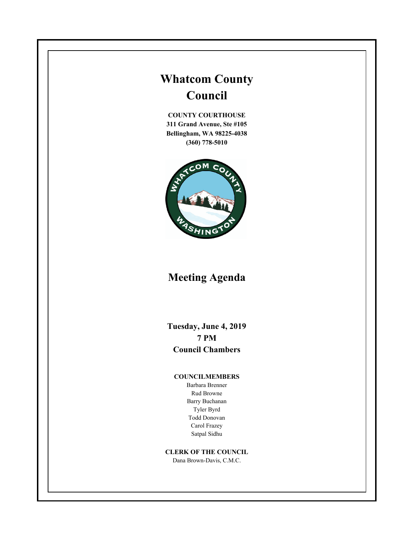# **Whatcom County Council**

**COUNTY COURTHOUSE 311 Grand Avenue, Ste #105 Bellingham, WA 98225-4038 (360) 778-5010**



## **Meeting Agenda**

**Tuesday, June 4, 2019 7 PM Council Chambers**

#### **COUNCILMEMBERS**

Barbara Brenner Rud Browne Barry Buchanan Tyler Byrd Todd Donovan Carol Frazey Satpal Sidhu

#### **CLERK OF THE COUNCIL**

Dana Brown-Davis, C.M.C.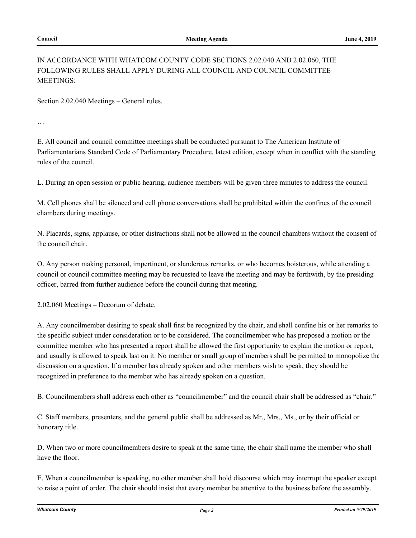#### IN ACCORDANCE WITH WHATCOM COUNTY CODE SECTIONS 2.02.040 AND 2.02.060, THE FOLLOWING RULES SHALL APPLY DURING ALL COUNCIL AND COUNCIL COMMITTEE MEETINGS:

Section 2.02.040 Meetings – General rules.

…

E. All council and council committee meetings shall be conducted pursuant to The American Institute of Parliamentarians Standard Code of Parliamentary Procedure, latest edition, except when in conflict with the standing rules of the council.

L. During an open session or public hearing, audience members will be given three minutes to address the council.

M. Cell phones shall be silenced and cell phone conversations shall be prohibited within the confines of the council chambers during meetings.

N. Placards, signs, applause, or other distractions shall not be allowed in the council chambers without the consent of the council chair.

O. Any person making personal, impertinent, or slanderous remarks, or who becomes boisterous, while attending a council or council committee meeting may be requested to leave the meeting and may be forthwith, by the presiding officer, barred from further audience before the council during that meeting.

2.02.060 Meetings – Decorum of debate.

A. Any councilmember desiring to speak shall first be recognized by the chair, and shall confine his or her remarks to the specific subject under consideration or to be considered. The councilmember who has proposed a motion or the committee member who has presented a report shall be allowed the first opportunity to explain the motion or report, and usually is allowed to speak last on it. No member or small group of members shall be permitted to monopolize the discussion on a question. If a member has already spoken and other members wish to speak, they should be recognized in preference to the member who has already spoken on a question.

B. Councilmembers shall address each other as "councilmember" and the council chair shall be addressed as "chair."

C. Staff members, presenters, and the general public shall be addressed as Mr., Mrs., Ms., or by their official or honorary title.

D. When two or more councilmembers desire to speak at the same time, the chair shall name the member who shall have the floor.

E. When a councilmember is speaking, no other member shall hold discourse which may interrupt the speaker except to raise a point of order. The chair should insist that every member be attentive to the business before the assembly.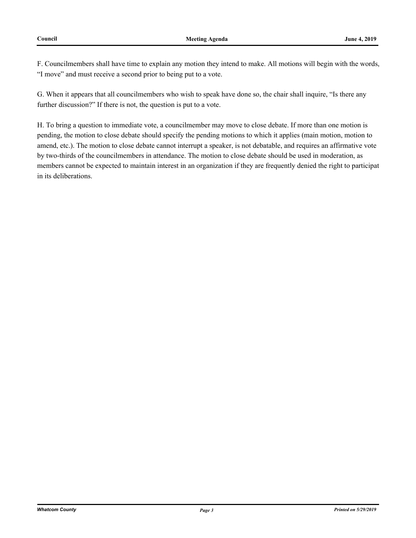F. Councilmembers shall have time to explain any motion they intend to make. All motions will begin with the words, "I move" and must receive a second prior to being put to a vote.

G. When it appears that all councilmembers who wish to speak have done so, the chair shall inquire, "Is there any further discussion?" If there is not, the question is put to a vote.

H. To bring a question to immediate vote, a councilmember may move to close debate. If more than one motion is pending, the motion to close debate should specify the pending motions to which it applies (main motion, motion to amend, etc.). The motion to close debate cannot interrupt a speaker, is not debatable, and requires an affirmative vote by two-thirds of the councilmembers in attendance. The motion to close debate should be used in moderation, as members cannot be expected to maintain interest in an organization if they are frequently denied the right to participat in its deliberations.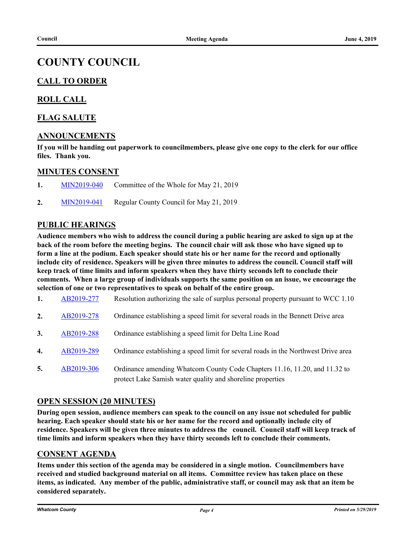## **COUNTY COUNCIL**

### **CALL TO ORDER**

#### **ROLL CALL**

#### **FLAG SALUTE**

#### **ANNOUNCEMENTS**

**If you will be handing out paperwork to councilmembers, please give one copy to the clerk for our office files. Thank you.**

#### **MINUTES CONSENT**

- **1.** [MIN2019-040](http://whatcom.legistar.com/gateway.aspx?m=l&id=/matter.aspx?key=2373) Committee of the Whole for May 21, 2019
- **2.** [MIN2019-041](http://whatcom.legistar.com/gateway.aspx?m=l&id=/matter.aspx?key=2375) Regular County Council for May 21, 2019

#### **PUBLIC HEARINGS**

**Audience members who wish to address the council during a public hearing are asked to sign up at the back of the room before the meeting begins. The council chair will ask those who have signed up to form a line at the podium. Each speaker should state his or her name for the record and optionally include city of residence. Speakers will be given three minutes to address the council. Council staff will keep track of time limits and inform speakers when they have thirty seconds left to conclude their comments. When a large group of individuals supports the same position on an issue, we encourage the selection of one or two representatives to speak on behalf of the entire group.**

- **1.** [AB2019-277](http://whatcom.legistar.com/gateway.aspx?m=l&id=/matter.aspx?key=2309) Resolution authorizing the sale of surplus personal property pursuant to WCC 1.10
- **2.** [AB2019-278](http://whatcom.legistar.com/gateway.aspx?m=l&id=/matter.aspx?key=2315) Ordinance establishing a speed limit for several roads in the Bennett Drive area
- **3.** [AB2019-288](http://whatcom.legistar.com/gateway.aspx?m=l&id=/matter.aspx?key=2325) Ordinance establishing a speed limit for Delta Line Road
- **4.** [AB2019-289](http://whatcom.legistar.com/gateway.aspx?m=l&id=/matter.aspx?key=2326) Ordinance establishing a speed limit for several roads in the Northwest Drive area
- **5.** [AB2019-306](http://whatcom.legistar.com/gateway.aspx?m=l&id=/matter.aspx?key=2343) Ordinance amending Whatcom County Code Chapters 11.16, 11.20, and 11.32 to protect Lake Samish water quality and shoreline properties

#### **OPEN SESSION (20 MINUTES)**

**During open session, audience members can speak to the council on any issue not scheduled for public hearing. Each speaker should state his or her name for the record and optionally include city of residence. Speakers will be given three minutes to address the council. Council staff will keep track of time limits and inform speakers when they have thirty seconds left to conclude their comments.**

#### **CONSENT AGENDA**

**Items under this section of the agenda may be considered in a single motion. Councilmembers have received and studied background material on all items. Committee review has taken place on these items, as indicated. Any member of the public, administrative staff, or council may ask that an item be considered separately.**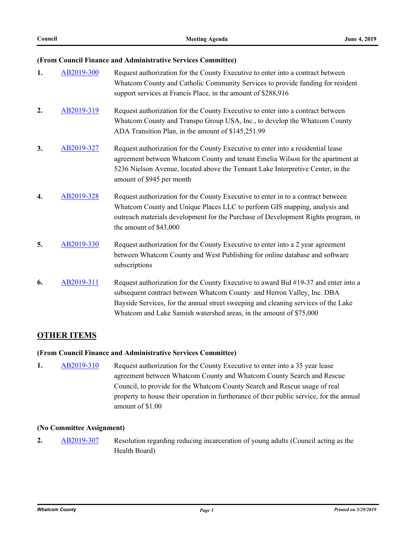#### **(From Council Finance and Administrative Services Committee)**

| 1. | AB2019-300 | Request authorization for the County Executive to enter into a contract between<br>Whatcom County and Catholic Community Services to provide funding for resident<br>support services at Francis Place, in the amount of \$288,916                                                                                        |
|----|------------|---------------------------------------------------------------------------------------------------------------------------------------------------------------------------------------------------------------------------------------------------------------------------------------------------------------------------|
| 2. | AB2019-319 | Request authorization for the County Executive to enter into a contract between<br>Whatcom County and Transpo Group USA, Inc., to develop the Whatcom County<br>ADA Transition Plan, in the amount of \$145,251.99                                                                                                        |
| 3. | AB2019-327 | Request authorization for the County Executive to enter into a residential lease<br>agreement between Whatcom County and tenant Emelia Wilson for the apartment at<br>5236 Nielson Avenue, located above the Tennant Lake Interpretive Center, in the<br>amount of \$945 per month                                        |
| 4. | AB2019-328 | Request authorization for the County Executive to enter in to a contract between<br>Whatcom County and Unique Places LLC to perform GIS mapping, analysis and<br>outreach materials development for the Purchase of Development Rights program, in<br>the amount of \$43,000                                              |
| 5. | AB2019-330 | Request authorization for the County Executive to enter into a 2 year agreement<br>between Whatcom County and West Publishing for online database and software<br>subscriptions                                                                                                                                           |
| 6. | AB2019-311 | Request authorization for the County Executive to award Bid #19-37 and enter into a<br>subsequent contract between Whatcom County and Herron Valley, Inc. DBA<br>Bayside Services, for the annual street sweeping and cleaning services of the Lake<br>Whatcom and Lake Samish watershed areas, in the amount of \$75,000 |

#### **OTHER ITEMS**

#### **(From Council Finance and Administrative Services Committee)**

**1.** [AB2019-310](http://whatcom.legistar.com/gateway.aspx?m=l&id=/matter.aspx?key=2347) Request authorization for the County Executive to enter into a 35 year lease agreement between Whatcom County and Whatcom County Search and Rescue Council, to provide for the Whatcom County Search and Rescue usage of real property to house their operation in furtherance of their public service, for the annual amount of \$1.00

#### **(No Committee Assignment)**

**2.** [AB2019-307](http://whatcom.legistar.com/gateway.aspx?m=l&id=/matter.aspx?key=2344) Resolution regarding reducing incarceration of young adults (Council acting as the Health Board)